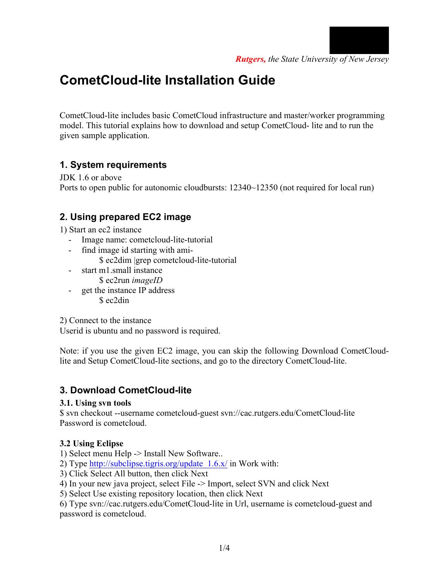

# **CometCloud-lite Installation Guide**

CometCloud-lite includes basic CometCloud infrastructure and master/worker programming model. This tutorial explains how to download and setup CometCloud- lite and to run the given sample application.

## **1. System requirements**

JDK 1.6 or above Ports to open public for autonomic cloudbursts:  $12340~12350$  (not required for local run)

## **2. Using prepared EC2 image**

1) Start an ec2 instance

- Image name: cometcloud-lite-tutorial
- find image id starting with ami-
	- \$ ec2dim |grep cometcloud-lite-tutorial
- start m1.small instance \$ ec2run *imageID*
- get the instance IP address \$ ec2din

2) Connect to the instance

Userid is ubuntu and no password is required.

Note: if you use the given EC2 image, you can skip the following Download CometCloudlite and Setup CometCloud-lite sections, and go to the directory CometCloud-lite.

## **3. Download CometCloud-lite**

#### **3.1. Using svn tools**

\$ svn checkout --username cometcloud-guest svn://cac.rutgers.edu/CometCloud-lite Password is cometcloud.

### **3.2 Using Eclipse**

1) Select menu Help -> Install New Software..

2) Type http://subclipse.tigris.org/update  $1.6 \text{ x}$ / in Work with:

3) Click Select All button, then click Next

4) In your new java project, select File -> Import, select SVN and click Next

5) Select Use existing repository location, then click Next

6) Type svn://cac.rutgers.edu/CometCloud-lite in Url, username is cometcloud-guest and password is cometcloud.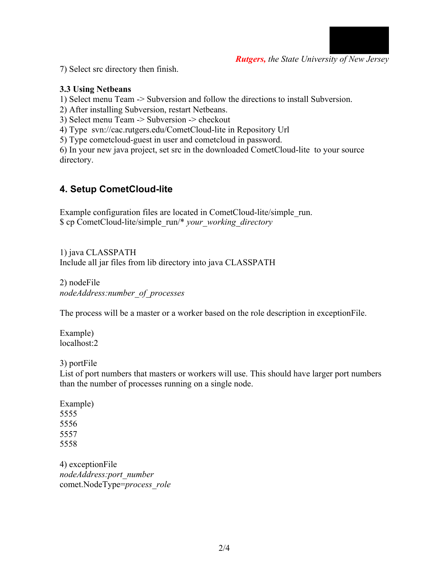

*Rutgers, the State University of New Jersey*

7) Select src directory then finish.

#### **3.3 Using Netbeans**

1) Select menu Team -> Subversion and follow the directions to install Subversion.

2) After installing Subversion, restart Netbeans.

3) Select menu Team -> Subversion -> checkout

4) Type svn://cac.rutgers.edu/CometCloud-lite in Repository Url

5) Type cometcloud-guest in user and cometcloud in password.

6) In your new java project, set src in the downloaded CometCloud-lite to your source directory.

## **4. Setup CometCloud-lite**

Example configuration files are located in CometCloud-lite/simple\_run. \$ cp CometCloud-lite/simple\_run/\* *your\_working\_directory*

1) java CLASSPATH Include all jar files from lib directory into java CLASSPATH

2) nodeFile *nodeAddress:number\_of\_processes*

The process will be a master or a worker based on the role description in exceptionFile.

Example) localhost:2

3) portFile

List of port numbers that masters or workers will use. This should have larger port numbers than the number of processes running on a single node.

4) exceptionFile *nodeAddress:port\_number* comet.NodeType=*process\_role*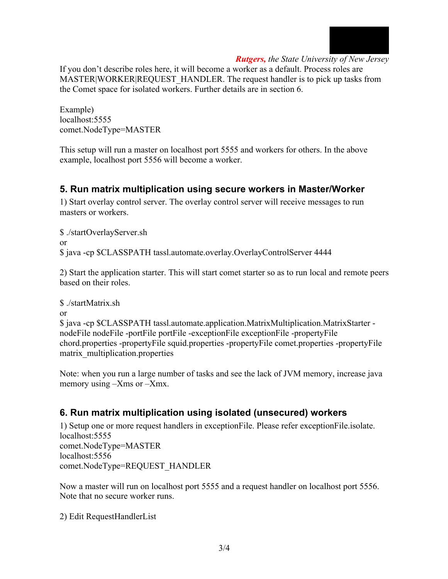

#### *Rutgers, the State University of New Jersey*

If you don't describe roles here, it will become a worker as a default. Process roles are MASTER|WORKER|REQUEST\_HANDLER. The request handler is to pick up tasks from the Comet space for isolated workers. Further details are in section 6.

Example) localhost:5555 comet.NodeType=MASTER

This setup will run a master on localhost port 5555 and workers for others. In the above example, localhost port 5556 will become a worker.

## **5. Run matrix multiplication using secure workers in Master/Worker**

1) Start overlay control server. The overlay control server will receive messages to run masters or workers.

\$ ./startOverlayServer.sh or \$ java -cp \$CLASSPATH tassl.automate.overlay.OverlayControlServer 4444

2) Start the application starter. This will start comet starter so as to run local and remote peers based on their roles.

\$ ./startMatrix.sh

or

\$ java -cp \$CLASSPATH tassl.automate.application.MatrixMultiplication.MatrixStarter nodeFile nodeFile -portFile portFile -exceptionFile exceptionFile -propertyFile chord.properties -propertyFile squid.properties -propertyFile comet.properties -propertyFile matrix\_multiplication.properties

Note: when you run a large number of tasks and see the lack of JVM memory, increase java memory using –Xms or –Xmx.

## **6. Run matrix multiplication using isolated (unsecured) workers**

1) Setup one or more request handlers in exceptionFile. Please refer exceptionFile.isolate. localhost:5555 comet.NodeType=MASTER localhost:5556 comet.NodeType=REQUEST\_HANDLER

Now a master will run on localhost port 5555 and a request handler on localhost port 5556. Note that no secure worker runs.

2) Edit RequestHandlerList